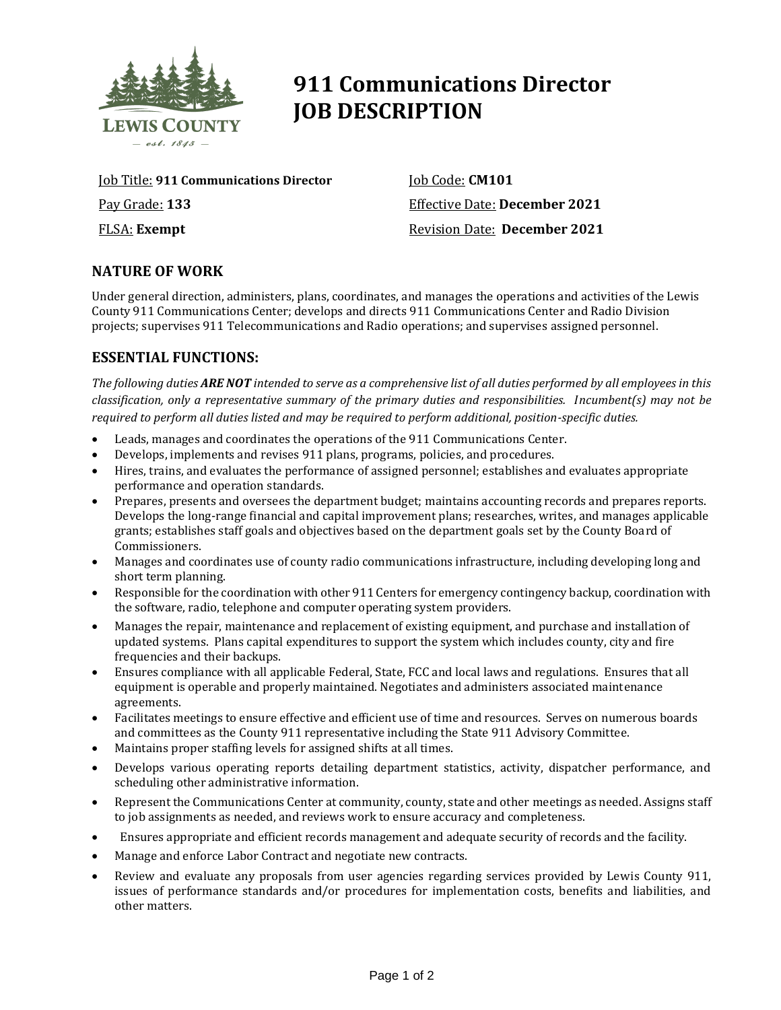

# **911 Communications Director JOB DESCRIPTION**

Job Title: **911 Communications Director** Pay Grade: **133** FLSA: **Exempt**

Job Code: **CM101** Effective Date: **December 2021** Revision Date: **December 2021**

## **NATURE OF WORK**

Under general direction, administers, plans, coordinates, and manages the operations and activities of the Lewis County 911 Communications Center; develops and directs 911 Communications Center and Radio Division projects; supervises 911 Telecommunications and Radio operations; and supervises assigned personnel.

#### **ESSENTIAL FUNCTIONS:**

*The following duties ARE NOT intended to serve as a comprehensive list of all duties performed by all employees in this classification, only a representative summary of the primary duties and responsibilities. Incumbent(s) may not be required to perform all duties listed and may be required to perform additional, position-specific duties.*

- Leads, manages and coordinates the operations of the 911 Communications Center.
- Develops, implements and revises 911 plans, programs, policies, and procedures.
- Hires, trains, and evaluates the performance of assigned personnel; establishes and evaluates appropriate performance and operation standards.
- Prepares, presents and oversees the department budget; maintains accounting records and prepares reports. Develops the long-range financial and capital improvement plans; researches, writes, and manages applicable grants; establishes staff goals and objectives based on the department goals set by the County Board of Commissioners.
- Manages and coordinates use of county radio communications infrastructure, including developing long and short term planning.
- Responsible for the coordination with other 911 Centers for emergency contingency backup, coordination with the software, radio, telephone and computer operating system providers.
- Manages the repair, maintenance and replacement of existing equipment, and purchase and installation of updated systems. Plans capital expenditures to support the system which includes county, city and fire frequencies and their backups.
- Ensures compliance with all applicable Federal, State, FCC and local laws and regulations. Ensures that all equipment is operable and properly maintained. Negotiates and administers associated maintenance agreements.
- Facilitates meetings to ensure effective and efficient use of time and resources. Serves on numerous boards and committees as the County 911 representative including the State 911 Advisory Committee.
- Maintains proper staffing levels for assigned shifts at all times.
- Develops various operating reports detailing department statistics, activity, dispatcher performance, and scheduling other administrative information.
- Represent the Communications Center at community, county, state and other meetings as needed. Assigns staff to job assignments as needed, and reviews work to ensure accuracy and completeness.
- Ensures appropriate and efficient records management and adequate security of records and the facility.
- Manage and enforce Labor Contract and negotiate new contracts.
- Review and evaluate any proposals from user agencies regarding services provided by Lewis County 911, issues of performance standards and/or procedures for implementation costs, benefits and liabilities, and other matters.